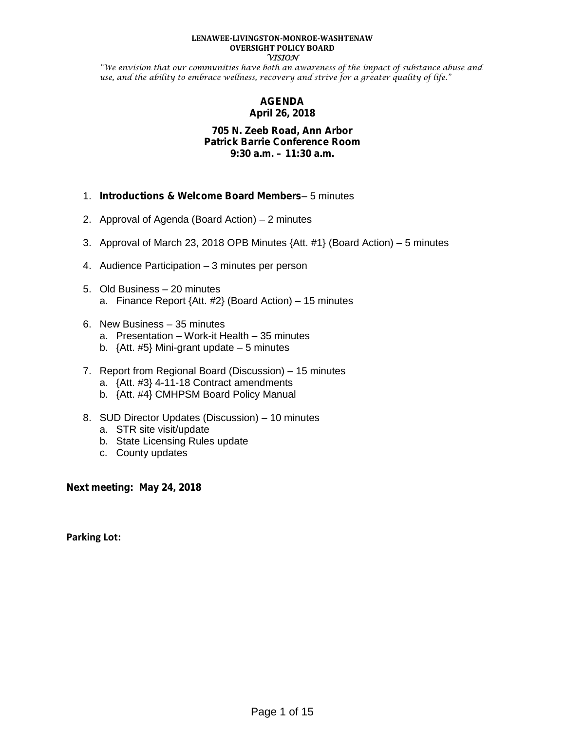#### **LENAWEE-LIVINGSTON-MONROE-WASHTENAW OVERSIGHT POLICY BOARD VISION**

"We envision that our communities have both an awareness of the impact of substance abuse and use, and the ability to embrace wellness, recovery and strive for a greater quality of life."

#### **AGENDA April 26, 2018**

#### **705 N. Zeeb Road, Ann Arbor Patrick Barrie Conference Room 9:30 a.m. – 11:30 a.m.**

- 1. *Introductions & Welcome Board Members* 5 minutes
- 2. Approval of Agenda (Board Action) 2 minutes
- 3. Approval of March 23, 2018 OPB Minutes {Att. #1} (Board Action) 5 minutes
- 4. Audience Participation 3 minutes per person
- 5. Old Business 20 minutes a. Finance Report {Att. #2} (Board Action) – 15 minutes
- 6. New Business 35 minutes
	- a. Presentation Work-it Health 35 minutes
	- b.  $\{Att. #5\}$  Mini-grant update  $-5$  minutes
- 7. Report from Regional Board (Discussion) 15 minutes
	- a. {Att. #3} 4-11-18 Contract amendments
	- b. {Att. #4} CMHPSM Board Policy Manual
- 8. SUD Director Updates (Discussion) 10 minutes
	- a. STR site visit/update
	- b. State Licensing Rules update
	- c. County updates

**Next meeting: May 24, 2018**

**Parking Lot:**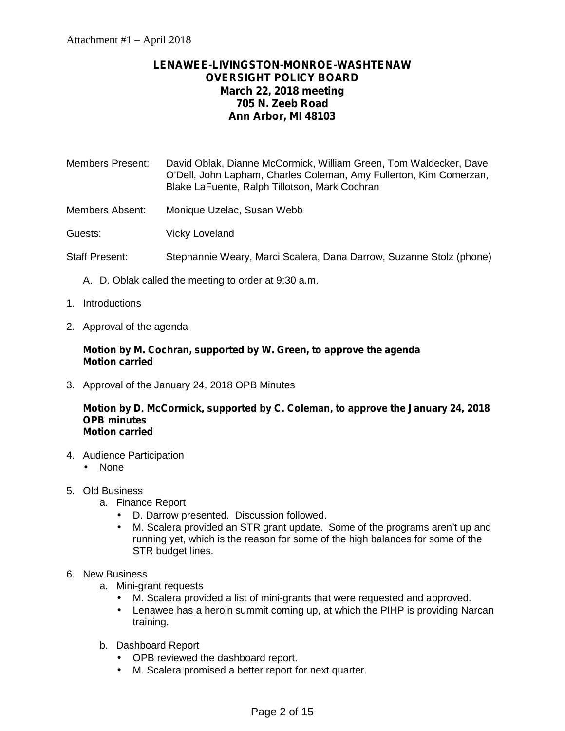#### **LENAWEE-LIVINGSTON-MONROE-WASHTENAW OVERSIGHT POLICY BOARD March 22, 2018 meeting 705 N. Zeeb Road Ann Arbor, MI 48103**

Members Present: David Oblak, Dianne McCormick, William Green, Tom Waldecker, Dave O'Dell, John Lapham, Charles Coleman, Amy Fullerton, Kim Comerzan, Blake LaFuente, Ralph Tillotson, Mark Cochran

Members Absent: Monique Uzelac, Susan Webb

Guests: Vicky Loveland

- Staff Present: Stephannie Weary, Marci Scalera, Dana Darrow, Suzanne Stolz (phone)
	- A. D. Oblak called the meeting to order at 9:30 a.m.
- 1. Introductions
- 2. Approval of the agenda

#### **Motion by M. Cochran, supported by W. Green, to approve the agenda Motion carried**

3. Approval of the January 24, 2018 OPB Minutes

#### **Motion by D. McCormick, supported by C. Coleman, to approve the January 24, 2018 OPB minutes Motion carried**

- 4. Audience Participation
	- ) None
- 5. Old Business
	- a. Finance Report
		- D. Darrow presented. Discussion followed.
		- M. Scalera provided an STR grant update. Some of the programs aren't up and running yet, which is the reason for some of the high balances for some of the STR budget lines.
- 6. New Business
	- a. Mini-grant requests
		- M. Scalera provided a list of mini-grants that were requested and approved.
		- Lenawee has a heroin summit coming up, at which the PIHP is providing Narcan training.
	- b. Dashboard Report
		- OPB reviewed the dashboard report.
		- M. Scalera promised a better report for next quarter.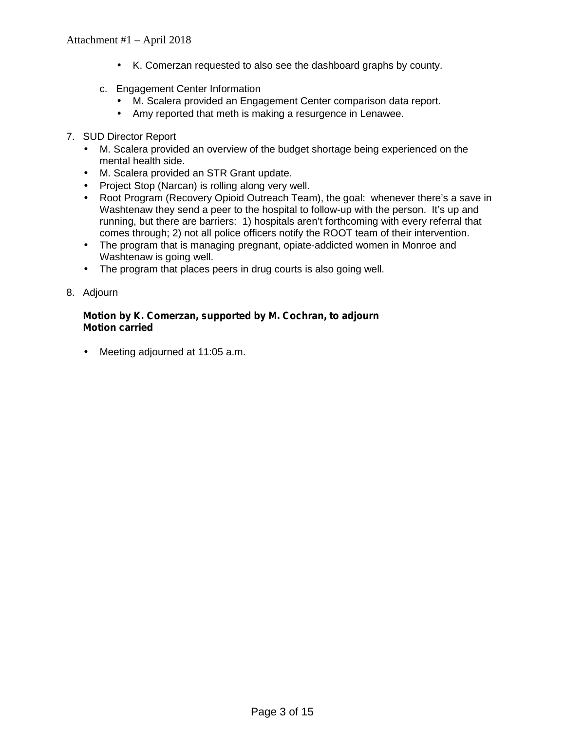- K. Comerzan requested to also see the dashboard graphs by county.
- c. Engagement Center Information
	- M. Scalera provided an Engagement Center comparison data report.<br>I Amy reported that meth is making a resurgence in Lenawee.
	- Amy reported that meth is making a resurgence in Lenawee.
- 7. SUD Director Report
	- M. Scalera provided an overview of the budget shortage being experienced on the mental health side.
	- M. Scalera provided an STR Grant update.
	- Project Stop (Narcan) is rolling along very well.
	- Root Program (Recovery Opioid Outreach Team), the goal: whenever there's a save in Washtenaw they send a peer to the hospital to follow-up with the person. It's up and running, but there are barriers: 1) hospitals aren't forthcoming with every referral that comes through; 2) not all police officers notify the ROOT team of their intervention.
	- The program that is managing pregnant, opiate-addicted women in Monroe and Washtenaw is going well.
	- The program that places peers in drug courts is also going well.
- 8. Adjourn

#### **Motion by K. Comerzan, supported by M. Cochran, to adjourn Motion carried**

Meeting adjourned at 11:05 a.m.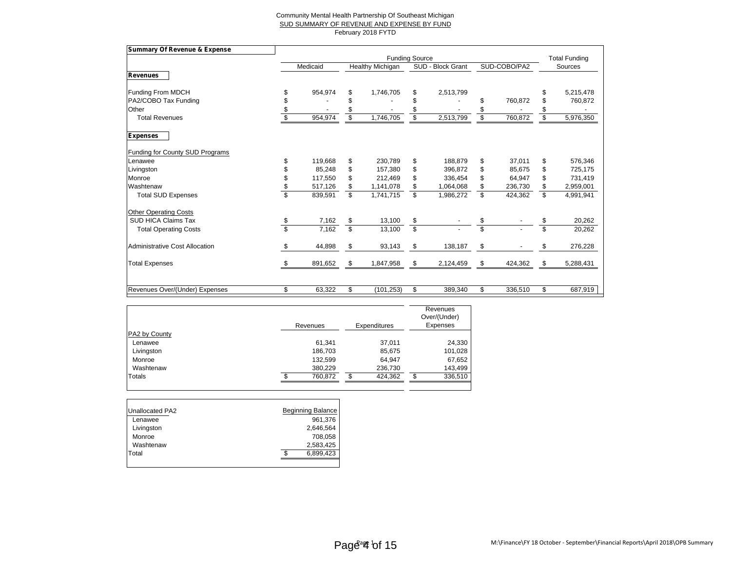#### Community Mental Health Partnership Of Southeast Michigan SUD SUMMARY OF REVENUE AND EXPENSE BY FUND February 2018 FYTD

| <b>Summary Of Revenue &amp; Expense</b> |                          |                       |                         |                  |    |                   |    |                      |    |           |
|-----------------------------------------|--------------------------|-----------------------|-------------------------|------------------|----|-------------------|----|----------------------|----|-----------|
|                                         |                          | <b>Funding Source</b> |                         |                  |    |                   |    | <b>Total Funding</b> |    |           |
|                                         |                          | Medicaid              |                         | Healthy Michigan |    | SUD - Block Grant |    | SUD-COBO/PA2         |    | Sources   |
| Revenues                                |                          |                       |                         |                  |    |                   |    |                      |    |           |
| Funding From MDCH                       | \$                       | 954,974               | \$                      | 1,746,705        | \$ | 2,513,799         |    |                      | \$ | 5,215,478 |
| PA2/COBO Tax Funding                    | \$                       |                       |                         |                  |    |                   |    | 760,872              |    | 760,872   |
| Other                                   | \$                       |                       |                         |                  |    |                   |    |                      |    |           |
| <b>Total Revenues</b>                   | $\overline{\mathcal{S}}$ | 954,974               | \$                      | 1,746,705        | \$ | 2,513,799         | \$ | 760,872              | \$ | 5,976,350 |
| <b>Expenses</b>                         |                          |                       |                         |                  |    |                   |    |                      |    |           |
| <b>Funding for County SUD Programs</b>  |                          |                       |                         |                  |    |                   |    |                      |    |           |
| Lenawee                                 | \$                       | 119,668               | \$                      | 230,789          | \$ | 188.879           | \$ | 37,011               | \$ | 576,346   |
| Livingston                              | \$                       | 85,248                | \$                      | 157,380          | \$ | 396,872           | \$ | 85,675               | \$ | 725,175   |
| Monroe                                  | \$                       | 117.550               | \$                      | 212.469          | \$ | 336.454           | \$ | 64.947               | \$ | 731,419   |
| Washtenaw                               | \$                       | 517,126               | \$                      | 1,141,078        | \$ | 1,064,068         | \$ | 236,730              | \$ | 2,959,001 |
| <b>Total SUD Expenses</b>               | $\overline{\mathbb{S}}$  | 839,591               | s,                      | 1,741,715        | \$ | 1,986,272         | \$ | 424,362              | \$ | 4,991,941 |
| <b>Other Operating Costs</b>            |                          |                       |                         |                  |    |                   |    |                      |    |           |
| <b>SUD HICA Claims Tax</b>              | \$                       | 7,162                 | \$                      | 13,100           | \$ |                   | \$ |                      | \$ | 20,262    |
| <b>Total Operating Costs</b>            | $\overline{\mathbb{S}}$  | 7,162                 | $\overline{\mathbb{S}}$ | 13,100           | s  |                   | \$ |                      | \$ | 20,262    |
| <b>Administrative Cost Allocation</b>   | \$                       | 44,898                | \$                      | 93,143           | \$ | 138,187           | \$ | $\blacksquare$       | \$ | 276,228   |
| <b>Total Expenses</b>                   | \$                       | 891,652               | \$                      | 1,847,958        | \$ | 2,124,459         | \$ | 424,362              | \$ | 5,288,431 |
|                                         |                          |                       |                         |                  |    |                   |    |                      |    |           |
| Revenues Over/(Under) Expenses          | \$                       | 63,322                | \$                      | (101, 253)       | \$ | 389,340           | \$ | 336,510              | \$ | 687,919   |

|               | Revenues | Expenditures | Revenues<br>Over/(Under)<br>Expenses |
|---------------|----------|--------------|--------------------------------------|
| PA2 by County |          |              |                                      |
| Lenawee       | 61,341   | 37,011       | 24,330                               |
| Livingston    | 186,703  | 85,675       | 101,028                              |
| Monroe        | 132,599  | 64,947       | 67,652                               |
| Washtenaw     | 380,229  | 236,730      | 143,499                              |
| Totals        | 760.872  | 424,362      | 336,510<br>J                         |

| Unallocated PA2 | <b>Beginning Balance</b> |
|-----------------|--------------------------|
| Lenawee         | 961,376                  |
| Livingston      | 2,646,564                |
| Monroe          | 708,058                  |
| Washtenaw       | 2,583,425                |
| Total           | 6,899,423                |
|                 |                          |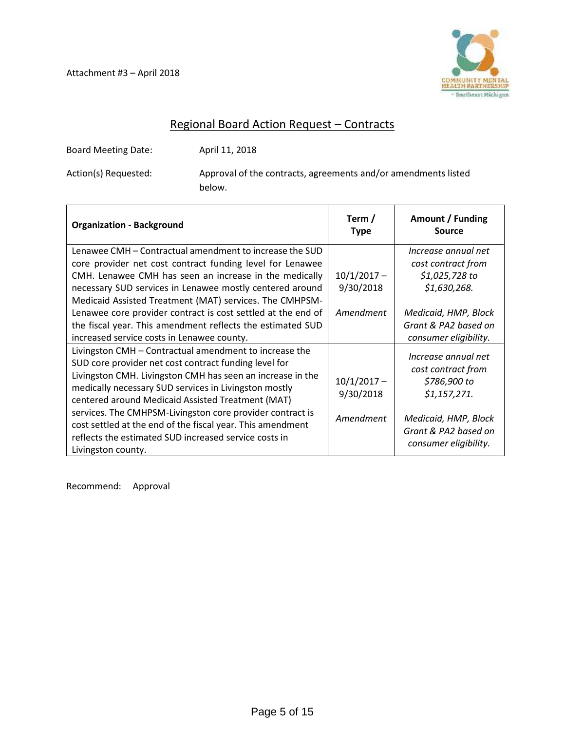

#### Regional Board Action Request – Contracts

Board Meeting Date: April 11, 2018

Action(s) Requested: Approval of the contracts, agreements and/or amendments listed below.

| <b>Organization - Background</b>                             | Term /<br><b>Type</b> | Amount / Funding<br><b>Source</b> |
|--------------------------------------------------------------|-----------------------|-----------------------------------|
| Lenawee CMH – Contractual amendment to increase the SUD      |                       | Increase annual net               |
| core provider net cost contract funding level for Lenawee    |                       | cost contract from                |
| CMH. Lenawee CMH has seen an increase in the medically       | $10/1/2017 -$         | \$1,025,728 to                    |
| necessary SUD services in Lenawee mostly centered around     | 9/30/2018             | \$1,630,268.                      |
| Medicaid Assisted Treatment (MAT) services. The CMHPSM-      |                       |                                   |
| Lenawee core provider contract is cost settled at the end of | Amendment             | Medicaid, HMP, Block              |
| the fiscal year. This amendment reflects the estimated SUD   |                       | Grant & PA2 based on              |
| increased service costs in Lenawee county.                   |                       | consumer eligibility.             |
| Livingston CMH - Contractual amendment to increase the       |                       | Increase annual net               |
| SUD core provider net cost contract funding level for        |                       | cost contract from                |
| Livingston CMH. Livingston CMH has seen an increase in the   | $10/1/2017 -$         | \$786,900 to                      |
| medically necessary SUD services in Livingston mostly        | 9/30/2018             | \$1,157,271.                      |
| centered around Medicaid Assisted Treatment (MAT)            |                       |                                   |
| services. The CMHPSM-Livingston core provider contract is    | Amendment             | Medicaid, HMP, Block              |
| cost settled at the end of the fiscal year. This amendment   |                       | Grant & PA2 based on              |
| reflects the estimated SUD increased service costs in        |                       | consumer eligibility.             |
| Livingston county.                                           |                       |                                   |

Recommend: Approval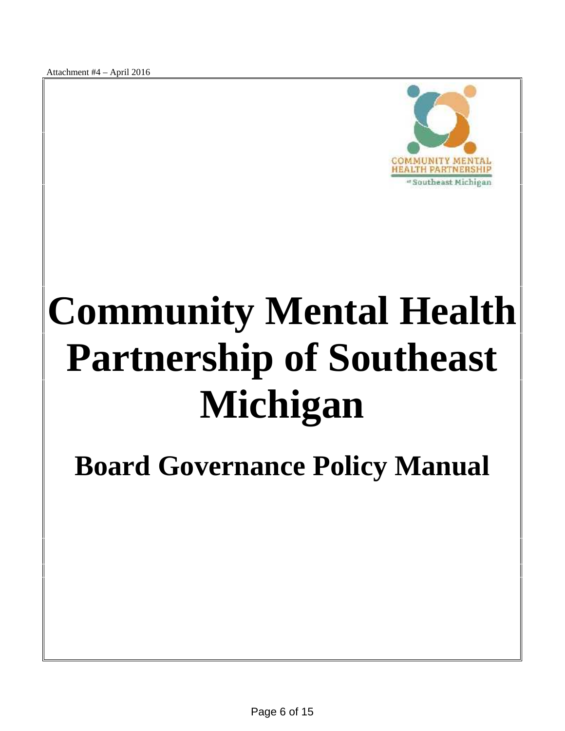Attachment #4 – April 2016



# **Community Mental Health Partnership of Southeast Michigan**

**Board Governance Policy Manual**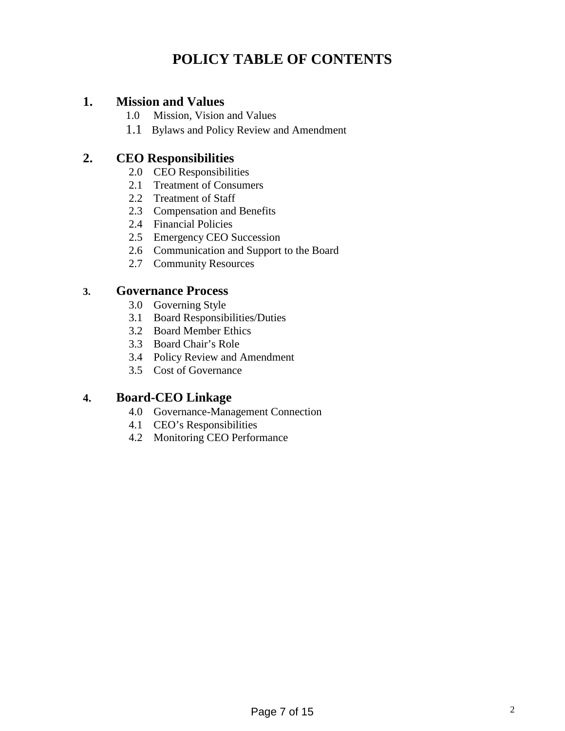# **POLICY TABLE OF CONTENTS**

#### **1. Mission and Values**

- 1.0 Mission, Vision and Values
- 1.1 Bylaws and Policy Review and Amendment

#### **2. CEO Responsibilities**

- 2.0 CEO Responsibilities
- 2.1 Treatment of Consumers
- 2.2 Treatment of Staff
- 2.3 Compensation and Benefits
- 2.4 Financial Policies
- 2.5 Emergency CEO Succession
- 2.6 Communication and Support to the Board
- 2.7 Community Resources

#### **3. Governance Process**

- 3.0 Governing Style
- 3.1 Board Responsibilities/Duties
- 3.2 Board Member Ethics
- 3.3 Board Chair's Role
- 3.4 Policy Review and Amendment
- 3.5 Cost of Governance

## **4. Board-CEO Linkage**

- 4.0 Governance-Management Connection
- 4.1 CEO's Responsibilities
- 4.2 Monitoring CEO Performance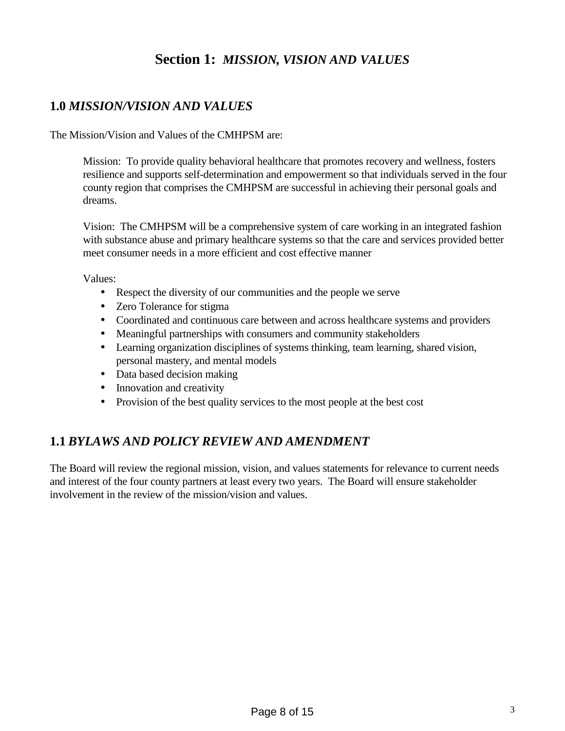# **Section 1:** *MISSION, VISION AND VALUES*

# **1.0** *MISSION/VISION AND VALUES*

The Mission/Vision and Values of the CMHPSM are:

Mission: To provide quality behavioral healthcare that promotes recovery and wellness, fosters resilience and supports self-determination and empowerment so that individuals served in the four county region that comprises the CMHPSM are successful in achieving their personal goals and dreams.

Vision: The CMHPSM will be a comprehensive system of care working in an integrated fashion with substance abuse and primary healthcare systems so that the care and services provided better meet consumer needs in a more efficient and cost effective manner

Values:

- Respect the diversity of our communities and the people we serve
- Zero Tolerance for stigma
- Coordinated and continuous care between and across healthcare systems and providers
- Meaningful partnerships with consumers and community stakeholders
- Learning organization disciplines of systems thinking, team learning, shared vision, personal mastery, and mental models
- Data based decision making
- Innovation and creativity
- $\hat{P}$  Provision of the best quality services to the most people at the best cost

#### **1.1** *BYLAWS AND POLICY REVIEW AND AMENDMENT*

The Board will review the regional mission, vision, and values statements for relevance to current needs and interest of the four county partners at least every two years. The Board will ensure stakeholder involvement in the review of the mission/vision and values.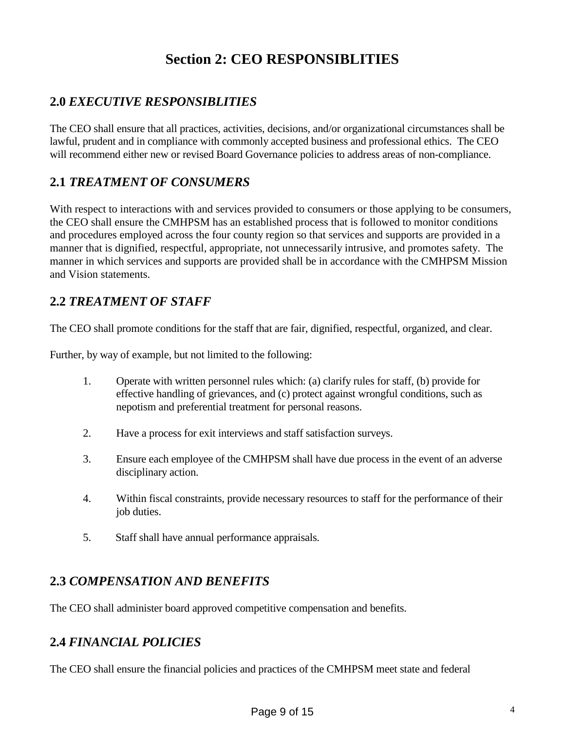# **Section 2: CEO RESPONSIBLITIES**

# **2.0** *EXECUTIVE RESPONSIBLITIES*

The CEO shall ensure that all practices, activities, decisions, and/or organizational circumstances shall be lawful, prudent and in compliance with commonly accepted business and professional ethics. The CEO will recommend either new or revised Board Governance policies to address areas of non-compliance.

# **2.1** *TREATMENT OF CONSUMERS*

With respect to interactions with and services provided to consumers or those applying to be consumers, the CEO shall ensure the CMHPSM has an established process that is followed to monitor conditions and procedures employed across the four county region so that services and supports are provided in a manner that is dignified, respectful, appropriate, not unnecessarily intrusive, and promotes safety. The manner in which services and supports are provided shall be in accordance with the CMHPSM Mission and Vision statements.

# **2.2** *TREATMENT OF STAFF*

The CEO shall promote conditions for the staff that are fair, dignified, respectful, organized, and clear.

Further, by way of example, but not limited to the following:

- 1. Operate with written personnel rules which: (a) clarify rules for staff, (b) provide for effective handling of grievances, and (c) protect against wrongful conditions, such as nepotism and preferential treatment for personal reasons.
- 2. Have a process for exit interviews and staff satisfaction surveys.
- 3. Ensure each employee of the CMHPSM shall have due process in the event of an adverse disciplinary action.
- 4. Within fiscal constraints, provide necessary resources to staff for the performance of their job duties.
- 5. Staff shall have annual performance appraisals.

# **2.3** *COMPENSATION AND BENEFITS*

The CEO shall administer board approved competitive compensation and benefits.

#### **2.4** *FINANCIAL POLICIES*

The CEO shall ensure the financial policies and practices of the CMHPSM meet state and federal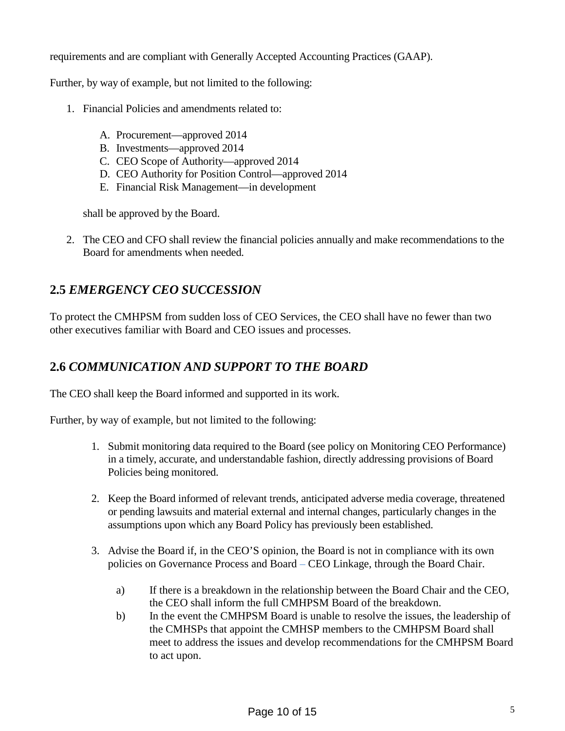requirements and are compliant with Generally Accepted Accounting Practices (GAAP).

Further, by way of example, but not limited to the following:

- 1. Financial Policies and amendments related to:
	- A. Procurement—approved 2014
	- B. Investments—approved 2014
	- C. CEO Scope of Authority—approved 2014
	- D. CEO Authority for Position Control—approved 2014
	- E. Financial Risk Management—in development

shall be approved by the Board.

2. The CEO and CFO shall review the financial policies annually and make recommendations to the Board for amendments when needed.

# **2.5** *EMERGENCY CEO SUCCESSION*

To protect the CMHPSM from sudden loss of CEO Services, the CEO shall have no fewer than two other executives familiar with Board and CEO issues and processes.

# **2.6** *COMMUNICATION AND SUPPORT TO THE BOARD*

The CEO shall keep the Board informed and supported in its work.

Further, by way of example, but not limited to the following:

- 1. Submit monitoring data required to the Board (see policy on Monitoring CEO Performance) in a timely, accurate, and understandable fashion, directly addressing provisions of Board Policies being monitored.
- 2. Keep the Board informed of relevant trends, anticipated adverse media coverage, threatened or pending lawsuits and material external and internal changes, particularly changes in the assumptions upon which any Board Policy has previously been established.
- 3. Advise the Board if, in the CEO'S opinion, the Board is not in compliance with its own policies on Governance Process and Board – CEO Linkage, through the Board Chair.
	- a) If there is a breakdown in the relationship between the Board Chair and the CEO, the CEO shall inform the full CMHPSM Board of the breakdown.
	- b) In the event the CMHPSM Board is unable to resolve the issues, the leadership of the CMHSPs that appoint the CMHSP members to the CMHPSM Board shall meet to address the issues and develop recommendations for the CMHPSM Board to act upon.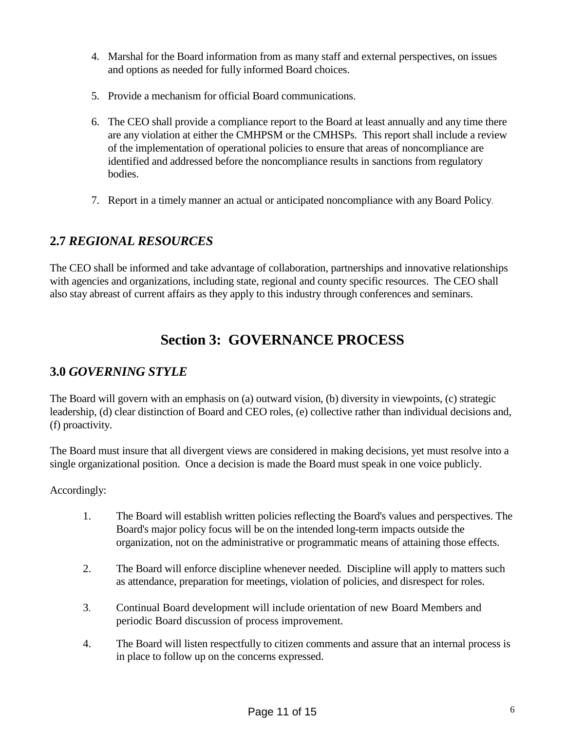- 4. Marshal for the Board information from as many staff and external perspectives, on issues and options as needed for fully informed Board choices.
- 5. Provide a mechanism for official Board communications.
- 6. The CEO shall provide a compliance report to the Board at least annually and any time there are any violation at either the CMHPSM or the CMHSPs. This report shall include a review of the implementation of operational policies to ensure that areas of noncompliance are identified and addressed before the noncompliance results in sanctions from regulatory bodies.
- 7. Report in a timely manner an actual or anticipated noncompliance with any Board Policy.

## **2.7** *REGIONAL RESOURCES*

The CEO shall be informed and take advantage of collaboration, partnerships and innovative relationships with agencies and organizations, including state, regional and county specific resources. The CEO shall also stay abreast of current affairs as they apply to this industry through conferences and seminars.

# **Section 3: GOVERNANCE PROCESS**

## **3.0** *GOVERNING STYLE*

The Board will govern with an emphasis on (a) outward vision, (b) diversity in viewpoints, (c) strategic leadership, (d) clear distinction of Board and CEO roles, (e) collective rather than individual decisions and, (f) proactivity.

The Board must insure that all divergent views are considered in making decisions, yet must resolve into a single organizational position. Once a decision is made the Board must speak in one voice publicly.

Accordingly:

- 1. The Board will establish written policies reflecting the Board's values and perspectives. The Board's major policy focus will be on the intended long-term impacts outside the organization, not on the administrative or programmatic means of attaining those effects.
- 2. The Board will enforce discipline whenever needed. Discipline will apply to matters such as attendance, preparation for meetings, violation of policies, and disrespect for roles.
- 3. Continual Board development will include orientation of new Board Members and periodic Board discussion of process improvement.
- 4. The Board will listen respectfully to citizen comments and assure that an internal process is in place to follow up on the concerns expressed.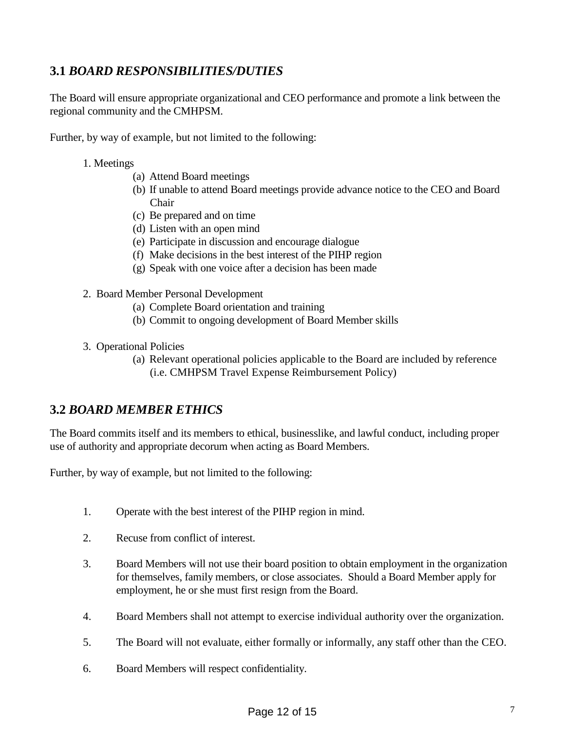# **3.1** *BOARD RESPONSIBILITIES/DUTIES*

The Board will ensure appropriate organizational and CEO performance and promote a link between the regional community and the CMHPSM.

Further, by way of example, but not limited to the following:

- 1. Meetings
	- (a) Attend Board meetings
	- (b) If unable to attend Board meetings provide advance notice to the CEO and Board Chair
	- (c) Be prepared and on time
	- (d) Listen with an open mind
	- (e) Participate in discussion and encourage dialogue
	- (f) Make decisions in the best interest of the PIHP region
	- (g) Speak with one voice after a decision has been made
- 2. Board Member Personal Development
	- (a) Complete Board orientation and training
	- (b) Commit to ongoing development of Board Member skills
- 3. Operational Policies
	- (a) Relevant operational policies applicable to the Board are included by reference (i.e. CMHPSM Travel Expense Reimbursement Policy)

#### **3.2** *BOARD MEMBER ETHICS*

The Board commits itself and its members to ethical, businesslike, and lawful conduct, including proper use of authority and appropriate decorum when acting as Board Members.

Further, by way of example, but not limited to the following:

- 1. Operate with the best interest of the PIHP region in mind.
- 2. Recuse from conflict of interest.
- 3. Board Members will not use their board position to obtain employment in the organization for themselves, family members, or close associates. Should a Board Member apply for employment, he or she must first resign from the Board.
- 4. Board Members shall not attempt to exercise individual authority over the organization.
- 5. The Board will not evaluate, either formally or informally, any staff other than the CEO.
- 6. Board Members will respect confidentiality.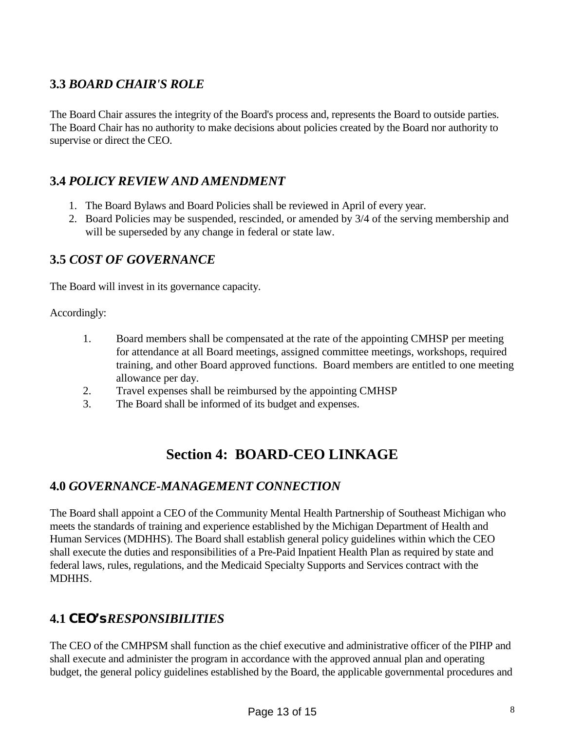# **3.3** *BOARD CHAIR'S ROLE*

The Board Chair assures the integrity of the Board's process and, represents the Board to outside parties. The Board Chair has no authority to make decisions about policies created by the Board nor authority to supervise or direct the CEO.

# **3.4** *POLICY REVIEW AND AMENDMENT*

- 1. The Board Bylaws and Board Policies shall be reviewed in April of every year.
- 2. Board Policies may be suspended, rescinded, or amended by 3/4 of the serving membership and will be superseded by any change in federal or state law.

## **3.5** *COST OF GOVERNANCE*

The Board will invest in its governance capacity.

Accordingly:

- 1. Board members shall be compensated at the rate of the appointing CMHSP per meeting for attendance at all Board meetings, assigned committee meetings, workshops, required training, and other Board approved functions. Board members are entitled to one meeting allowance per day.
- 2. Travel expenses shall be reimbursed by the appointing CMHSP
- 3. The Board shall be informed of its budget and expenses.

# **Section 4: BOARD-CEO LINKAGE**

#### **4.0** *GOVERNANCE-MANAGEMENT CONNECTION*

The Board shall appoint a CEO of the Community Mental Health Partnership of Southeast Michigan who meets the standards of training and experience established by the Michigan Department of Health and Human Services (MDHHS). The Board shall establish general policy guidelines within which the CEO shall execute the duties and responsibilities of a Pre-Paid Inpatient Health Plan as required by state and federal laws, rules, regulations, and the Medicaid Specialty Supports and Services contract with the MDHHS.

# **4.1** *CEO's RESPONSIBILITIES*

The CEO of the CMHPSM shall function as the chief executive and administrative officer of the PIHP and shall execute and administer the program in accordance with the approved annual plan and operating budget, the general policy guidelines established by the Board, the applicable governmental procedures and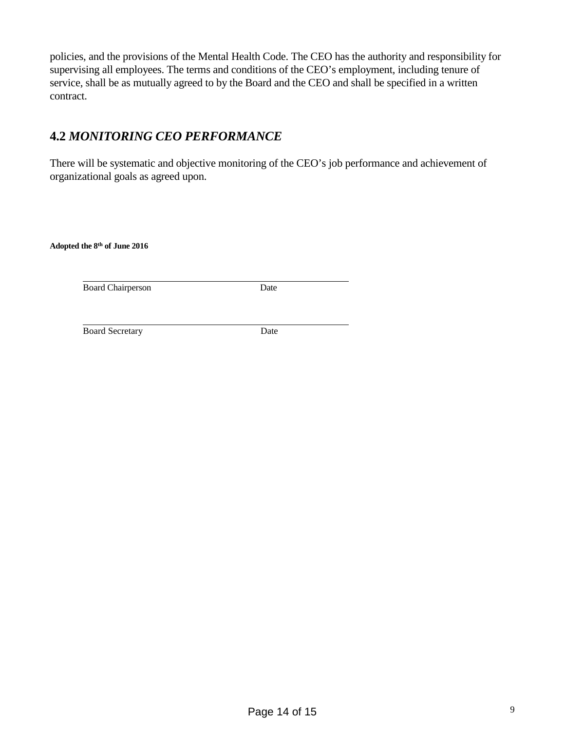policies, and the provisions of the Mental Health Code. The CEO has the authority and responsibility for supervising all employees. The terms and conditions of the CEO's employment, including tenure of service, shall be as mutually agreed to by the Board and the CEO and shall be specified in a written contract.

# **4.2** *MONITORING CEO PERFORMANCE*

There will be systematic and objective monitoring of the CEO's job performance and achievement of organizational goals as agreed upon.

**Adopted the 8 th of June 2016**

Board Chairperson Date

Board Secretary Date